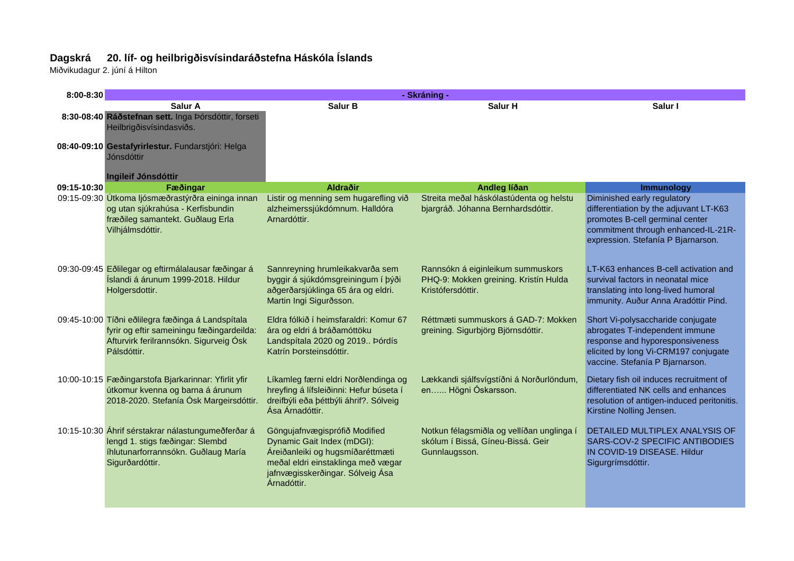## **Dagskrá 20. líf- og heilbrigðisvísindaráðstefna Háskóla Íslands**

Miðvikudagur 2. júní á Hilton

| $8:00 - 8:30$ |                                                                                                                                                         | - Skráning -                                                                                                                                                                             |                                                                                                 |                                                                                                                                                                                       |
|---------------|---------------------------------------------------------------------------------------------------------------------------------------------------------|------------------------------------------------------------------------------------------------------------------------------------------------------------------------------------------|-------------------------------------------------------------------------------------------------|---------------------------------------------------------------------------------------------------------------------------------------------------------------------------------------|
|               | Salur A                                                                                                                                                 | Salur B                                                                                                                                                                                  | Salur H                                                                                         | Salur I                                                                                                                                                                               |
|               | 8:30-08:40 Ráðstefnan sett. Inga Þórsdóttir, forseti<br>Heilbrigðisvísindasviðs.                                                                        |                                                                                                                                                                                          |                                                                                                 |                                                                                                                                                                                       |
|               | 08:40-09:10 Gestafyrirlestur. Fundarstjóri: Helga<br>Jónsdóttir                                                                                         |                                                                                                                                                                                          |                                                                                                 |                                                                                                                                                                                       |
|               | Ingileif Jónsdóttir                                                                                                                                     |                                                                                                                                                                                          |                                                                                                 |                                                                                                                                                                                       |
| 09:15-10:30   | Fæðingar                                                                                                                                                | Aldraðir                                                                                                                                                                                 | Andleg líðan                                                                                    | Immunology                                                                                                                                                                            |
|               | 09:15-09:30 Útkoma ljósmæðrastýrðra eininga innan<br>og utan sjúkrahúsa - Kerfisbundin<br>fræðileg samantekt. Guðlaug Erla<br>Vilhjálmsdóttir.          | Listir og menning sem hugarefling við<br>alzheimerssjúkdómnum. Halldóra<br>Arnardóttir.                                                                                                  | Streita meðal háskólastúdenta og helstu<br>bjargráð. Jóhanna Bernhardsdóttir.                   | Diminished early regulatory<br>differentiation by the adjuvant LT-K63<br>promotes B-cell germinal center<br>commitment through enhanced-IL-21R-<br>expression. Stefanía P Bjarnarson. |
|               | 09:30-09:45 Eðlilegar og eftirmálalausar fæðingar á<br>Íslandi á árunum 1999-2018. Hildur<br>Holgersdottir.                                             | Sannreyning hrumleikakvarða sem<br>byggir á sjúkdómsgreiningum í þýði<br>aðgerðarsjúklinga 65 ára og eldri.<br>Martin Ingi Sigurðsson.                                                   | Rannsókn á eiginleikum summuskors<br>PHQ-9: Mokken greining. Kristín Hulda<br>Kristófersdóttir. | LT-K63 enhances B-cell activation and<br>survival factors in neonatal mice<br>translating into long-lived humoral<br>immunity. Auður Anna Aradóttir Pind.                             |
|               | 09:45-10:00 Tíðni eðlilegra fæðinga á Landspítala<br>fyrir og eftir sameiningu fæðingardeilda:<br>Afturvirk ferilrannsókn. Sigurveig Ósk<br>Pálsdóttir. | Eldra fólkið í heimsfaraldri: Komur 67<br>ára og eldri á bráðamóttöku<br>Landspítala 2020 og 2019 Þórdís<br>Katrín Þorsteinsdóttir.                                                      | Réttmæti summuskors á GAD-7: Mokken<br>greining. Sigurbjörg Björnsdóttir.                       | Short Vi-polysaccharide conjugate<br>abrogates T-independent immune<br>response and hyporesponsiveness<br>elicited by long Vi-CRM197 conjugate<br>vaccine. Stefanía P Bjarnarson.     |
|               | 10:00-10:15 Fæðingarstofa Bjarkarinnar: Yfirlit yfir<br>útkomur kvenna og barna á árunum<br>2018-2020. Stefanía Ósk Margeirsdóttir.                     | Líkamleg færni eldri Norðlendinga og<br>hreyfing á lífsleiðinni: Hefur búseta í<br>dreifbýli eða þéttbýli áhrif?. Sólveig<br>Ása Árnadóttir.                                             | Lækkandi sjálfsvígstíðni á Norðurlöndum,<br>en Högni Óskarsson.                                 | Dietary fish oil induces recruitment of<br>differentiated NK cells and enhances<br>resolution of antigen-induced peritonitis.<br>Kirstine Nolling Jensen.                             |
|               | 10:15-10:30 Áhrif sérstakrar nálastungumeðferðar á<br>lengd 1. stigs fæðingar: Slembd<br>íhlutunarforrannsókn. Guðlaug María<br>Sigurðardóttir.         | Göngujafnvægisprófið Modified<br>Dynamic Gait Index (mDGI):<br>Áreiðanleiki og hugsmíðaréttmæti<br>meðal eldri einstaklinga með vægar<br>jafnvægisskerðingar. Sólveig Ása<br>Árnadóttir. | Notkun félagsmiðla og vellíðan unglinga í<br>skólum í Bissá, Gíneu-Bissá. Geir<br>Gunnlaugsson. | DETAILED MULTIPLEX ANALYSIS OF<br>SARS-COV-2 SPECIFIC ANTIBODIES<br>IN COVID-19 DISEASE. Hildur<br>Sigurgrímsdóttir.                                                                  |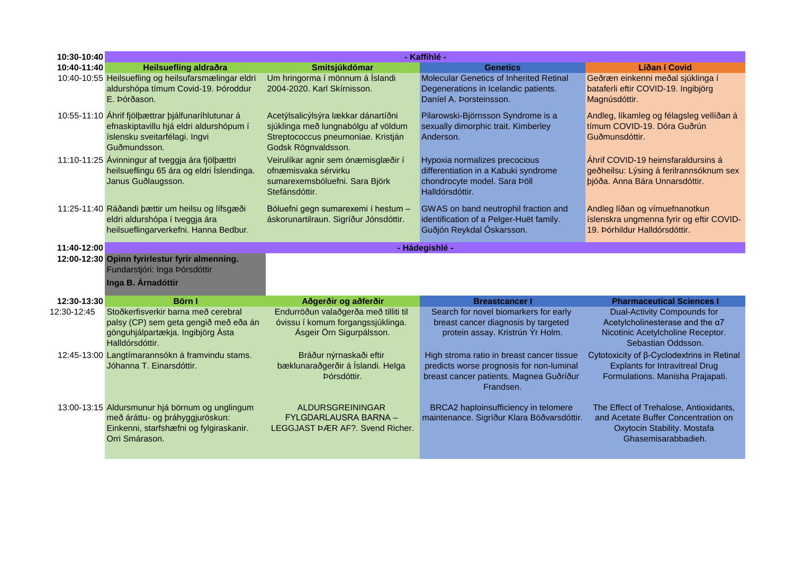| 10:30-10:40 | - Kaffihlé -                                                                                                                                    |                                                                                                                                         |                                                                                                                                               |                                                                                                                                     |
|-------------|-------------------------------------------------------------------------------------------------------------------------------------------------|-----------------------------------------------------------------------------------------------------------------------------------------|-----------------------------------------------------------------------------------------------------------------------------------------------|-------------------------------------------------------------------------------------------------------------------------------------|
| 10:40-11:40 | Heilsuefling aldraðra                                                                                                                           | Smitsjúkdómar                                                                                                                           | <b>Genetics</b>                                                                                                                               | Líðan í Covid                                                                                                                       |
|             | 10:40-10:55 Heilsuefling og heilsufarsmælingar eldri<br>aldurshópa tímum Covid-19. Þóroddur<br>E. Þórðason.                                     | Um hringorma í mönnum á Íslandi<br>2004-2020. Karl Skírnisson.                                                                          | Molecular Genetics of Inherited Retinal<br>Degenerations in Icelandic patients.<br>Daníel A. Þorsteinsson.                                    | Geðræn einkenni meðal sjúklinga í<br>bataferli eftir COVID-19. Ingibjörg<br>Magnúsdóttir.                                           |
|             | 10:55-11:10 Ahrif fjölbættrar þjálfunaríhlutunar á<br>efnaskiptavillu hjá eldri aldurshópum í<br>íslensku sveitarfélagi. Ingvi<br>Guðmundsson.  | Acetýlsalicýlsýra lækkar dánartíðni<br>sjúklinga með lungnabólgu af völdum<br>Streptococcus pneumoniae. Kristján<br>Godsk Rögnvaldsson. | Pilarowski-Björnsson Syndrome is a<br>sexually dimorphic trait. Kimberley<br>Anderson.                                                        | Andleg, líkamleg og félagsleg vellíðan á<br>tímum COVID-19. Dóra Guðrún<br>Guðmunsdóttir.                                           |
|             | 11:10-11:25 Ávinningur af tveggja ára fjölþættri<br>heilsueflingu 65 ára og eldri Íslendinga.<br>Janus Guðlaugsson.                             | Veirulíkar agnir sem ónæmisglæðir í<br>ofnæmisvaka sérvirku<br>sumarexemsbóluefni. Sara Björk<br>Stefánsdóttir.                         | Hypoxia normalizes precocious<br>differentiation in a Kabuki syndrome<br>chondrocyte model. Sara Þöll<br>Halldórsdóttir.                      | Áhrif COVID-19 heimsfaraldursins á<br>geðheilsu: Lýsing á ferilrannsóknum sex<br>þjóða. Anna Bára Unnarsdóttir.                     |
|             | 11:25-11:40 Ráðandi þættir um heilsu og lífsgæði<br>eldri aldurshópa í tveggja ára<br>heilsueflingarverkefni. Hanna Bedbur.                     | Bóluefni gegn sumarexemi í hestum -<br>áskorunartilraun. Sigríður Jónsdóttir.                                                           | GWAS on band neutrophil fraction and<br>identification of a Pelger-Huët family.<br>Guðjón Reykdal Óskarsson.                                  | Andleg líðan og vímuefnanotkun<br>íslenskra ungmenna fyrir og eftir COVID-<br>19. Þórhildur Halldórsdóttir.                         |
| 11:40-12:00 |                                                                                                                                                 |                                                                                                                                         | - Hádegishlé -                                                                                                                                |                                                                                                                                     |
|             | 12:00-12:30 Opinn fyrirlestur fyrir almenning.<br>Fundarstjóri: Inga Þórsdóttir<br>Inga B. Árnadóttir                                           |                                                                                                                                         |                                                                                                                                               |                                                                                                                                     |
| 12:30-13:30 | <b>Börn I</b>                                                                                                                                   | Aðgerðir og aðferðir                                                                                                                    | <b>Breastcancer I</b>                                                                                                                         | <b>Pharmaceutical Sciences I</b>                                                                                                    |
| 12:30-12:45 | Stoðkerfisverkir barna með cerebral<br>palsy (CP) sem geta gengið með eða án<br>gönguhjálpartækja. Ingibjörg Ásta<br>Halldórsdóttir.            | Endurröðun valaðgerða með tilliti til<br>óvissu í komum forgangssjúklinga.<br>Ásgeir Örn Sigurpálsson.                                  | Search for novel biomarkers for early<br>breast cancer diagnosis by targeted<br>protein assay. Kristrún Ýr Holm.                              | <b>Dual-Activity Compounds for</b><br>Acetylcholinesterase and the a7<br>Nicotinic Acetylcholine Receptor.<br>Sebastian Oddsson.    |
|             | 12:45-13:00 Langtímarannsókn á framvindu stams.<br>Jóhanna T. Einarsdóttir.                                                                     | Bráður nýrnaskaði eftir<br>bæklunaraðgerðir á Íslandi. Helga<br>Þórsdóttir.                                                             | High stroma ratio in breast cancer tissue<br>predicts worse prognosis for non-luminal<br>breast cancer patients. Magnea Guðríður<br>Frandsen. | Cytotoxicity of β-Cyclodextrins in Retinal<br><b>Explants for Intravitreal Drug</b><br>Formulations. Manisha Prajapati.             |
|             | 13:00-13:15 Aldursmunur hjá börnum og unglingum<br>með áráttu- og þráhyggjuröskun:<br>Einkenni, starfshæfni og fylgiraskanir.<br>Orri Smárason. | ALDURSGREININGAR<br><b>FYLGDARLAUSRA BARNA -</b><br>LEGGJAST ÞÆR AF?. Svend Richer.                                                     | BRCA2 haploinsufficiency in telomere<br>maintenance. Sigríður Klara Böðvarsdóttir.                                                            | The Effect of Trehalose, Antioxidants,<br>and Acetate Buffer Concentration on<br>Oxytocin Stability. Mostafa<br>Ghasemisarabbadieh. |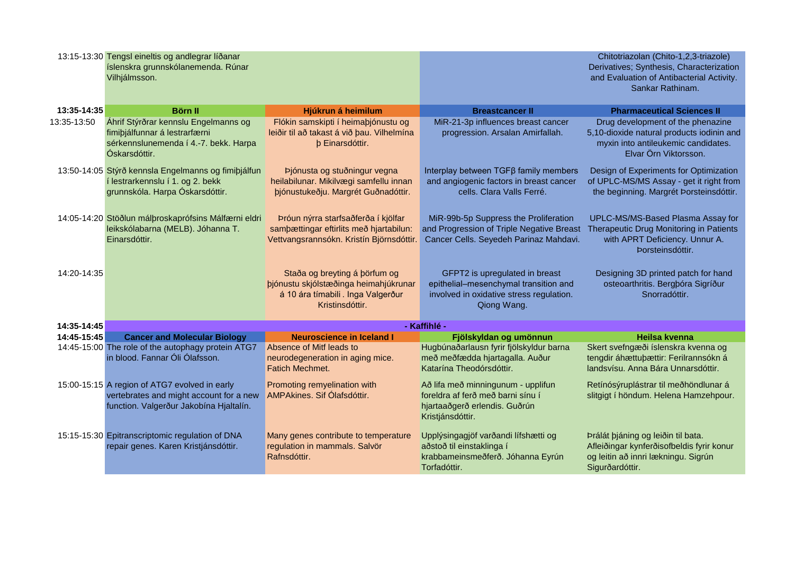|             | 13:15-13:30 Tengsl eineltis og andlegrar líðanar<br>íslenskra grunnskólanemenda. Rúnar<br>Vilhjálmsson.                             |                                                                                                                                |                                                                                                                                    | Chitotriazolan (Chito-1,2,3-triazole)<br>Derivatives; Synthesis, Characterization<br>and Evaluation of Antibacterial Activity.<br>Sankar Rathinam. |  |
|-------------|-------------------------------------------------------------------------------------------------------------------------------------|--------------------------------------------------------------------------------------------------------------------------------|------------------------------------------------------------------------------------------------------------------------------------|----------------------------------------------------------------------------------------------------------------------------------------------------|--|
| 13:35-14:35 | <b>Börn II</b>                                                                                                                      | Hjúkrun á heimilum                                                                                                             | <b>Breastcancer II</b>                                                                                                             | <b>Pharmaceutical Sciences II</b>                                                                                                                  |  |
| 13:35-13:50 | Áhrif Stýrðrar kennslu Engelmanns og<br>fimiþjálfunnar á lestrarfærni<br>sérkennslunemenda í 4.-7. bekk. Harpa<br>Óskarsdóttir.     | Flókin samskipti í heimaþjónustu og<br>leiðir til að takast á við þau. Vilhelmína<br><b>b</b> Einarsdóttir.                    | MiR-21-3p influences breast cancer<br>progression. Arsalan Amirfallah.                                                             | Drug development of the phenazine<br>5,10-dioxide natural products iodinin and<br>myxin into antileukemic candidates.<br>Elvar Örn Viktorsson.     |  |
|             | 13:50-14:05 Stýrð kennsla Engelmanns og fimiþjálfun<br>í lestrarkennslu í 1. og 2. bekk<br>grunnskóla. Harpa Óskarsdóttir.          | Þjónusta og stuðningur vegna<br>heilabilunar. Mikilvægi samfellu innan<br>þjónustukeðju. Margrét Guðnadóttir.                  | Interplay between TGFß family members<br>and angiogenic factors in breast cancer<br>cells. Clara Valls Ferré.                      | Design of Experiments for Optimization<br>of UPLC-MS/MS Assay - get it right from<br>the beginning. Margrét Þorsteinsdóttir.                       |  |
|             | 14:05-14:20 Stöðlun málþroskaprófsins Málfærni eldri<br>leikskólabarna (MELB). Jóhanna T.<br>Einarsdóttir.                          | Þróun nýrra starfsaðferða í kjölfar<br>sambættingar eftirlits með hjartabilun:<br>Vettvangsrannsókn. Kristín Björnsdóttir.     | MiR-99b-5p Suppress the Proliferation<br>and Progression of Triple Negative Breast<br>Cancer Cells. Seyedeh Parinaz Mahdavi.       | UPLC-MS/MS-Based Plasma Assay for<br>Therapeutic Drug Monitoring in Patients<br>with APRT Deficiency. Unnur A.<br>Þorsteinsdóttir.                 |  |
| 14:20-14:35 |                                                                                                                                     | Staða og breyting á þörfum og<br>þjónustu skjólstæðinga heimahjúkrunar<br>á 10 ára tímabili. Inga Valgerður<br>Kristinsdóttir. | GFPT2 is upregulated in breast<br>epithelial-mesenchymal transition and<br>involved in oxidative stress regulation.<br>Qiong Wang. | Designing 3D printed patch for hand<br>osteoarthritis. Bergþóra Sigríður<br>Snorradóttir.                                                          |  |
| 14:35-14:45 |                                                                                                                                     |                                                                                                                                | - Kaffihlé -                                                                                                                       |                                                                                                                                                    |  |
| 14:45-15:45 | <b>Cancer and Molecular Biology</b>                                                                                                 | <b>Neuroscience in Iceland I</b>                                                                                               | Fjölskyldan og umönnun                                                                                                             | <b>Heilsa kvenna</b>                                                                                                                               |  |
|             | 14:45-15:00 The role of the autophagy protein ATG7<br>in blood. Fannar Óli Ólafsson.                                                | Absence of Mitf leads to<br>neurodegeneration in aging mice.<br><b>Fatich Mechmet.</b>                                         | Hugbúnaðarlausn fyrir fjölskyldur barna<br>með meðfædda hjartagalla. Auður<br>Katarína Theodórsdóttir.                             | Skert svefngæði íslenskra kvenna og<br>tengdir áhættuþættir: Ferilrannsókn á<br>landsvísu. Anna Bára Unnarsdóttir.                                 |  |
|             | 15:00-15:15 A region of ATG7 evolved in early<br>vertebrates and might account for a new<br>function. Valgerður Jakobína Hjaltalín. | Promoting remyelination with<br>AMPAkines. Sif Ólafsdóttir.                                                                    | Að lifa með minningunum - upplifun<br>foreldra af ferð með barni sínu í<br>hjartaaðgerð erlendis. Guðrún<br>Kristjánsdóttir.       | Retínósýruplástrar til meðhöndlunar á<br>slitgigt í höndum. Helena Hamzehpour.                                                                     |  |
|             | 15:15-15:30 Epitranscriptomic regulation of DNA<br>repair genes. Karen Kristjánsdóttir.                                             | Many genes contribute to temperature<br>regulation in mammals. Salvör<br>Rafnsdóttir.                                          | Upplýsingagjöf varðandi lífshætti og<br>aðstoð til einstaklinga í<br>krabbameinsmeðferð. Jóhanna Eyrún<br>Torfadóttir.             | Þrálát þjáning og leiðin til bata.<br>Afleiðingar kynferðisofbeldis fyrir konur<br>og leitin að innri lækningu. Sigrún<br>Sigurðardóttir.          |  |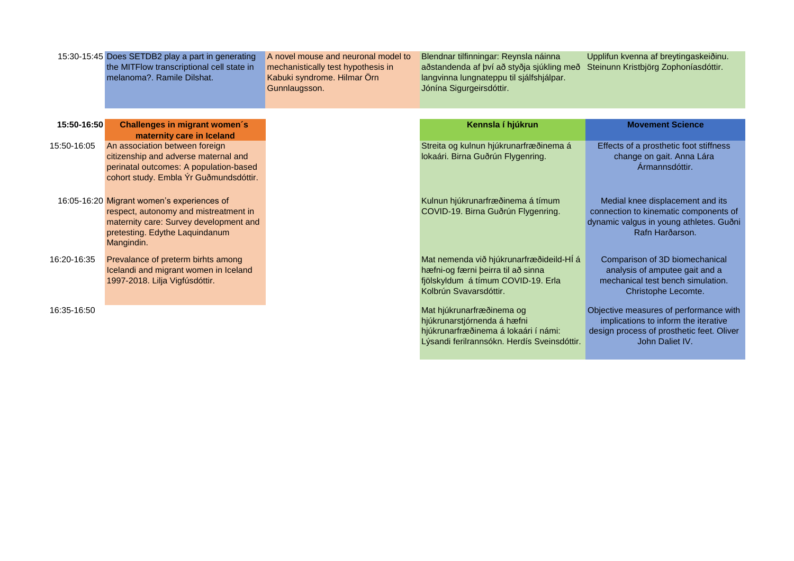|             | 15:30-15:45 Does SETDB2 play a part in generating<br>the MITFlow transcriptional cell state in<br>melanoma?, Ramile Dilshat.                                                  | A novel mouse and neuronal model to<br>mechanistically test hypothesis in<br>Kabuki syndrome. Hilmar Örn<br>Gunnlaugsson. | Blendnar tilfinningar: Reynsla náinna<br>aðstandenda af því að styðja sjúkling með<br>langvinna lungnateppu til sjálfshjálpar.<br>Jónína Sigurgeirsdóttir. | Upplifun kvenna af breytingaskeiðinu.<br>Steinunn Kristbjörg Zophoníasdóttir.                                                                  |
|-------------|-------------------------------------------------------------------------------------------------------------------------------------------------------------------------------|---------------------------------------------------------------------------------------------------------------------------|------------------------------------------------------------------------------------------------------------------------------------------------------------|------------------------------------------------------------------------------------------------------------------------------------------------|
| 15:50-16:50 | <b>Challenges in migrant women's</b>                                                                                                                                          |                                                                                                                           | Kennsla í hjúkrun                                                                                                                                          | <b>Movement Science</b>                                                                                                                        |
|             | maternity care in Iceland                                                                                                                                                     |                                                                                                                           |                                                                                                                                                            |                                                                                                                                                |
| 15:50-16:05 | An association between foreign<br>citizenship and adverse maternal and<br>perinatal outcomes: A population-based<br>cohort study. Embla Ýr Guðmundsdóttir.                    |                                                                                                                           | Streita og kulnun hjúkrunarfræðinema á<br>lokaári. Birna Guðrún Flygenring.                                                                                | Effects of a prosthetic foot stiffness<br>change on gait. Anna Lára<br>Ármannsdóttir.                                                          |
|             | 16:05-16:20 Migrant women's experiences of<br>respect, autonomy and mistreatment in<br>maternity care: Survey development and<br>pretesting. Edythe Laquindanum<br>Mangindin. |                                                                                                                           | Kulnun hjúkrunarfræðinema á tímum<br>COVID-19. Birna Guðrún Flygenring.                                                                                    | Medial knee displacement and its<br>connection to kinematic components of<br>dynamic valgus in young athletes. Guðni<br>Rafn Harðarson.        |
| 16:20-16:35 | Prevalance of preterm birhts among<br>Icelandi and migrant women in Iceland<br>1997-2018. Lilja Vigfúsdóttir.                                                                 |                                                                                                                           | Mat nemenda við hjúkrunarfræðideild-HÍ á<br>hæfni-og færni þeirra til að sinna<br>fjölskyldum á tímum COVID-19. Erla<br>Kolbrún Svavarsdóttir.             | Comparison of 3D biomechanical<br>analysis of amputee gait and a<br>mechanical test bench simulation.<br>Christophe Lecomte.                   |
| 16:35-16:50 |                                                                                                                                                                               |                                                                                                                           | Mat hjúkrunarfræðinema og<br>hjúkrunarstjórnenda á hæfni<br>hjúkrunarfræðinema á lokaári í námi:<br>Lýsandi ferilrannsókn. Herdís Sveinsdóttir.            | Objective measures of performance with<br>implications to inform the iterative<br>design process of prosthetic feet. Oliver<br>John Daliet IV. |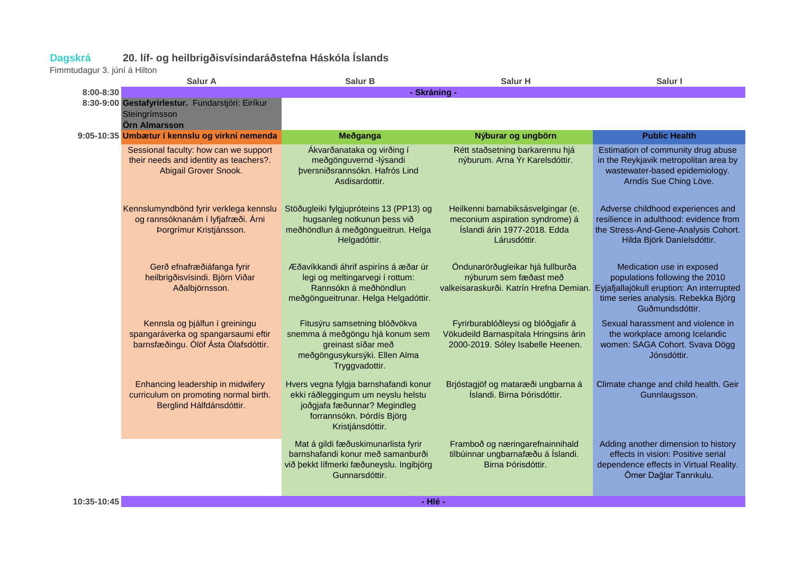## **Dagskrá 20. líf- og heilbrigðisvísindaráðstefna Háskóla Íslands Dagskrá** 20. líf- o<br>Fimmtudagur 3. júní á Hilton

|             | <b>Salur A</b>                                                                                                | Salur B                                                                                                                                                      | <b>Salur H</b>                                                                                                                                  | Salur I                                                                                                                                           |
|-------------|---------------------------------------------------------------------------------------------------------------|--------------------------------------------------------------------------------------------------------------------------------------------------------------|-------------------------------------------------------------------------------------------------------------------------------------------------|---------------------------------------------------------------------------------------------------------------------------------------------------|
| 8:00-8:30   |                                                                                                               | - Skráning -                                                                                                                                                 |                                                                                                                                                 |                                                                                                                                                   |
|             | 8:30-9:00 Gestafyrirlestur. Fundarstjóri: Eiríkur<br>Steingrímsson<br>Örn Almarsson                           |                                                                                                                                                              |                                                                                                                                                 |                                                                                                                                                   |
|             | 9:05-10:35 Umbætur í kennslu og virkni nemenda                                                                | Meðganga                                                                                                                                                     | Nýburar og ungbörn                                                                                                                              | <b>Public Health</b>                                                                                                                              |
|             | Sessional faculty: how can we support<br>their needs and identity as teachers?.<br>Abigail Grover Snook.      | Ákvarðanataka og virðing í<br>meðgönguvernd -lýsandi<br>þversniðsrannsókn. Hafrós Lind<br>Asdisardottir.                                                     | Rétt staðsetning barkarennu hjá<br>nýburum. Arna Ýr Karelsdóttir.                                                                               | Estimation of community drug abuse<br>in the Reykjavik metropolitan area by<br>wastewater-based epidemiology.<br>Arndís Sue Ching Löve.           |
|             | Kennslumyndbönd fyrir verklega kennslu<br>og rannsóknanám í lyfjafræði. Árni<br>Þorgrímur Kristjánsson.       | Stöðugleiki fylgjupróteins 13 (PP13) og<br>hugsanleg notkunun þess við<br>meðhöndlun á meðgöngueitrun. Helga<br>Helgadóttir.                                 | Heilkenni barnabiksásvelgingar (e.<br>meconium aspiration syndrome) á<br>Íslandi árin 1977-2018. Edda<br>Lárusdóttir.                           | Adverse childhood experiences and<br>resilience in adulthood: evidence from<br>the Stress-And-Gene-Analysis Cohort.<br>Hilda Björk Daníelsdóttir. |
|             | Gerð efnafræðiáfanga fyrir<br>heilbrigðisvísindi. Björn Viðar<br>Aðalbjörnsson.                               | Æðavíkkandi áhrif aspiríns á æðar úr<br>legi og meltingarvegi í rottum:<br>Rannsókn á meðhöndlun<br>meðgöngueitrunar. Helga Helgadóttir.                     | Öndunarörðugleikar hjá fullburða<br>nýburum sem fæðast með<br>valkeisaraskurði. Katrín Hrefna Demian. Eyjafjallajökull eruption: An interrupted | Medication use in exposed<br>populations following the 2010<br>time series analysis. Rebekka Björg<br>Guðmundsdóttir.                             |
|             | Kennsla og þjálfun í greiningu<br>spangaráverka og spangarsaumi eftir<br>barnsfæðingu. Ólöf Ásta Ólafsdóttir. | Fitusýru samsetning blóðvökva<br>snemma á meðgöngu hjá konum sem<br>greinast síðar með<br>meðgöngusykursýki. Ellen Alma<br>Tryggvadottir.                    | Fyrirburablóðleysi og blóðgjafir á<br>Vökudeild Barnaspítala Hringsins árin<br>2000-2019. Sóley Isabelle Heenen.                                | Sexual harassment and violence in<br>the workplace among Icelandic<br>women: SAGA Cohort. Svava Dögg<br>Jónsdóttir.                               |
|             | Enhancing leadership in midwifery<br>curriculum on promoting normal birth.<br>Berglind Hálfdánsdóttir.        | Hvers vegna fylgja barnshafandi konur<br>ekki ráðleggingum um neyslu helstu<br>joðgjafa fæðunnar? Megindleg<br>forrannsókn. Þórdís Björg<br>Kristjánsdóttir. | Brjóstagjöf og mataræði ungbarna á<br>Íslandi. Birna Þórisdóttir.                                                                               | Climate change and child health. Geir<br>Gunnlaugsson.                                                                                            |
|             |                                                                                                               | Mat á gildi fæðuskimunarlista fyrir<br>barnshafandi konur með samanburði<br>við þekkt lífmerki fæðuneyslu. Ingibjörg<br>Gunnarsdóttir.                       | Framboð og næringarefnainnihald<br>tilbúinnar ungbarnafæðu á Íslandi.<br>Birna Þórisdóttir.                                                     | Adding another dimension to history<br>effects in vision: Positive serial<br>dependence effects in Virtual Reality.<br>Ömer Dağlar Tanrıkulu.     |
| 10:35-10:45 |                                                                                                               | - Hlé -                                                                                                                                                      |                                                                                                                                                 |                                                                                                                                                   |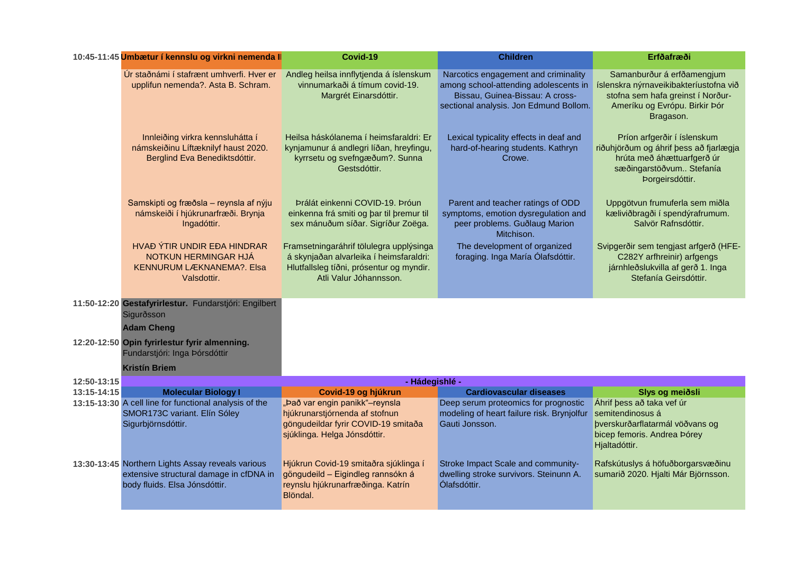|             | 10:45-11:45 Umbætur í kennslu og virkni nemenda II                                                                            | Covid-19                                                                                                                                                 | <b>Children</b>                                                                                                                                            | Erfðafræði                                                                                                                                              |
|-------------|-------------------------------------------------------------------------------------------------------------------------------|----------------------------------------------------------------------------------------------------------------------------------------------------------|------------------------------------------------------------------------------------------------------------------------------------------------------------|---------------------------------------------------------------------------------------------------------------------------------------------------------|
|             | Úr staðnámi í stafrænt umhverfi. Hver er<br>upplifun nemenda?. Asta B. Schram.                                                | Andleg heilsa innflytjenda á íslenskum<br>vinnumarkaði á tímum covid-19.<br>Margrét Einarsdóttir.                                                        | Narcotics engagement and criminality<br>among school-attending adolescents in<br>Bissau, Guinea-Bissau: A cross-<br>sectional analysis. Jon Edmund Bollom. | Samanburður á erfðamengjum<br>íslenskra nýrnaveikibakteríustofna við<br>stofna sem hafa greinst í Norður-<br>Ameríku og Evrópu. Birkir Þór<br>Bragason. |
|             | Innleiðing virkra kennsluhátta í<br>námskeiðinu Líftæknilyf haust 2020.<br>Berglind Eva Benediktsdóttir.                      | Heilsa háskólanema í heimsfaraldri: Er<br>kynjamunur á andlegri líðan, hreyfingu,<br>kyrrsetu og svefngæðum?. Sunna<br>Gestsdóttir.                      | Lexical typicality effects in deaf and<br>hard-of-hearing students. Kathryn<br>Crowe.                                                                      | Príon arfgerðir í íslenskum<br>riðuhjörðum og áhrif þess að fjarlægja<br>hrúta með áhættuarfgerð úr<br>sæðingarstöðvum Stefanía<br>Þorgeirsdóttir.      |
|             | Samskipti og fræðsla - reynsla af nýju<br>námskeiði í hjúkrunarfræði. Brynja<br>Ingadóttir.                                   | Þrálát einkenni COVID-19. Þróun<br>einkenna frá smiti og þar til þremur til<br>sex mánuðum síðar. Sigríður Zoëga.                                        | Parent and teacher ratings of ODD<br>symptoms, emotion dysregulation and<br>peer problems. Guðlaug Marion<br>Mitchison.                                    | Uppgötvun frumuferla sem miðla<br>kæliviðbragði í spendýrafrumum.<br>Salvör Rafnsdóttir.                                                                |
|             | HVAÐ ÝTIR UNDIR EÐA HINDRAR<br>NOTKUN HERMINGAR HJÁ<br>KENNURUM LÆKNANEMA?. Elsa<br>Valsdottir.                               | Framsetningaráhrif tölulegra upplýsinga<br>á skynjaðan alvarleika í heimsfaraldri:<br>Hlutfallsleg tíðni, prósentur og myndir.<br>Atli Valur Jóhannsson. | The development of organized<br>foraging. Inga María Ólafsdóttir.                                                                                          | Svipgerðir sem tengjast arfgerð (HFE-<br>C282Y arfhreinir) arfgengs<br>járnhleðslukvilla af gerð 1. Inga<br>Stefanía Geirsdóttir.                       |
|             | 11:50-12:20 Gestafyrirlestur. Fundarstjóri: Engilbert<br>Sigurðsson<br><b>Adam Cheng</b>                                      |                                                                                                                                                          |                                                                                                                                                            |                                                                                                                                                         |
|             | 12:20-12:50 Opin fyrirlestur fyrir almenning.<br>Fundarstjóri: Inga Þórsdóttir<br><b>Kristín Briem</b>                        |                                                                                                                                                          |                                                                                                                                                            |                                                                                                                                                         |
| 12:50-13:15 |                                                                                                                               | - Hádegishlé -                                                                                                                                           |                                                                                                                                                            |                                                                                                                                                         |
| 13:15-14:15 | <b>Molecular Biology I</b>                                                                                                    | Covid-19 og hjúkrun                                                                                                                                      | <b>Cardiovascular diseases</b>                                                                                                                             | Slys og meiðsli                                                                                                                                         |
|             | 13:15-13:30 A cell line for functional analysis of the<br>SMOR173C variant. Elín Sóley<br>Sigurbjörnsdóttir.                  | "Það var engin panikk"-reynsla<br>hjúkrunarstjórnenda af stofnun<br>göngudeildar fyrir COVID-19 smitaða<br>sjúklinga. Helga Jónsdóttir.                  | Deep serum proteomics for prognostic<br>modeling of heart failure risk. Brynjolfur<br>Gauti Jonsson.                                                       | Áhrif þess að taka vef úr<br>semitendinosus á<br>þverskurðarflatarmál vöðvans og<br>bicep femoris. Andrea Þórey<br>Hjaltadóttir.                        |
|             | 13:30-13:45 Northern Lights Assay reveals various<br>extensive structural damage in cfDNA in<br>body fluids. Elsa Jónsdóttir. | Hjúkrun Covid-19 smitaðra sjúklinga í<br>göngudeild - Eigindleg rannsókn á<br>reynslu hjúkrunarfræðinga. Katrín<br>Blöndal.                              | Stroke Impact Scale and community-<br>dwelling stroke survivors. Steinunn A.<br>Ólafsdóttir.                                                               | Rafskútuslys á höfuðborgarsvæðinu<br>sumarið 2020. Hjalti Már Björnsson.                                                                                |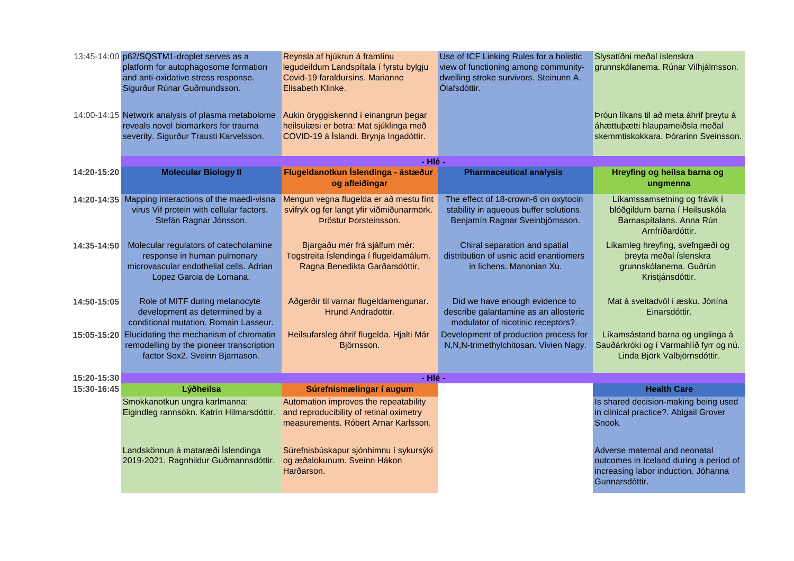|             | 13:45-14:00 p62/SQSTM1-droplet serves as a<br>platform for autophagosome formation<br>and anti-oxidative stress response.<br>Sigurður Rúnar Guðmundsson. | Reynsla af hjúkrun á framlínu<br>legudeildum Landspítala í fyrstu bylgju<br>Covid-19 faraldursins. Marianne<br>Elisabeth Klinke. | Use of ICF Linking Rules for a holistic<br>view of functioning among community-<br>dwelling stroke survivors. Steinunn A.<br>Ólafsdóttir. | Slysatíðni meðal íslenskra<br>grunnskólanema. Rúnar Vilhjálmsson.                                                                |
|-------------|----------------------------------------------------------------------------------------------------------------------------------------------------------|----------------------------------------------------------------------------------------------------------------------------------|-------------------------------------------------------------------------------------------------------------------------------------------|----------------------------------------------------------------------------------------------------------------------------------|
|             | 14:00-14:15 Network analysis of plasma metabolome<br>reveals novel biomarkers for trauma<br>severity. Sigurður Trausti Karvelsson.                       | Aukin öryggiskennd í einangrun þegar<br>heilsulæsi er betra: Mat sjúklinga með<br>COVID-19 á Íslandi. Brynja Ingadóttir.         |                                                                                                                                           | Þróun líkans til að meta áhrif þreytu á<br>áhættuþætti hlaupameiðsla meðal<br>skemmtiskokkara. Þórarinn Sveinsson.               |
|             |                                                                                                                                                          | - Hlé -                                                                                                                          |                                                                                                                                           |                                                                                                                                  |
| 14:20-15:20 | <b>Molecular Biology II</b>                                                                                                                              | Flugeldanotkun Íslendinga - ástæður<br>og afleiðingar                                                                            | <b>Pharmaceutical analysis</b>                                                                                                            | Hreyfing og heilsa barna og<br>ungmenna                                                                                          |
|             | 14:20-14:35 Mapping interactions of the maedi-visna<br>virus Vif protein with cellular factors.<br>Stefán Ragnar Jónsson.                                | Mengun vegna flugelda er að mestu fínt<br>svifryk og fer langt yfir viðmiðunarmörk.<br>Þröstur Þorsteinsson.                     | The effect of 18-crown-6 on oxytocin<br>stability in aqueous buffer solutions.<br>Benjamín Ragnar Sveinbjörnsson.                         | Líkamssamsetning og frávik í<br>blóðgildum barna í Heilsuskóla<br>Barnaspítalans. Anna Rún<br>Arnfríðardóttir.                   |
| 14:35-14:50 | Molecular regulators of catecholamine<br>response in human pulmonary<br>microvascular endothelial cells. Adrian<br>Lopez Garcia de Lomana.               | Bjargaðu mér frá sjálfum mér:<br>Togstreita Íslendinga í flugeldamálum.<br>Ragna Benedikta Garðarsdóttir.                        | Chiral separation and spatial<br>distribution of usnic acid enantiomers<br>in lichens. Manonian Xu.                                       | Líkamleg hreyfing, svefngæði og<br>þreyta meðal íslenskra<br>grunnskólanema. Guðrún<br>Kristjánsdóttir.                          |
| 14:50-15:05 | Role of MITF during melanocyte<br>development as determined by a<br>conditional mutation. Romain Lasseur.                                                | Aðgerðir til varnar flugeldamengunar.<br>Hrund Andradottir.                                                                      | Did we have enough evidence to<br>describe galantamine as an allosteric<br>modulator of nicotinic receptors?.                             | Mat á sveitadvöl í æsku. Jónína<br>Einarsdóttir.                                                                                 |
|             | 15:05-15:20 Elucidating the mechanism of chromatin<br>remodelling by the pioneer transcription<br>factor Sox2. Sveinn Bjarnason.                         | Heilsufarsleg áhrif flugelda. Hjalti Már<br>Björnsson.                                                                           | Development of production process for<br>N,N,N-trimethylchitosan. Vivien Nagy.                                                            | Líkamsástand barna og unglinga á<br>Sauðárkróki og í Varmahlíð fyrr og nú.<br>Linda Björk Valbjörnsdóttir.                       |
| 15:20-15:30 |                                                                                                                                                          | - Hlé -                                                                                                                          |                                                                                                                                           |                                                                                                                                  |
| 15:30-16:45 | Lýðheilsa                                                                                                                                                | Súrefnismælingar í augum                                                                                                         |                                                                                                                                           | <b>Health Care</b>                                                                                                               |
|             | Smokkanotkun ungra karlmanna:<br>Eigindleg rannsókn. Katrín Hilmarsdóttir.                                                                               | Automation improves the repeatability<br>and reproducibility of retinal oximetry<br>measurements. Róbert Arnar Karlsson.         |                                                                                                                                           | Is shared decision-making being used<br>in clinical practice?. Abigail Grover<br>Snook.                                          |
|             | Landskönnun á mataræði Íslendinga<br>2019-2021. Ragnhildur Guðmannsdóttir.                                                                               | Súrefnisbúskapur sjónhimnu í sykursýki<br>og æðalokunum. Sveinn Hákon<br>Harðarson.                                              |                                                                                                                                           | Adverse maternal and neonatal<br>outcomes in Iceland during a period of<br>increasing labor induction. Jóhanna<br>Gunnarsdóttir. |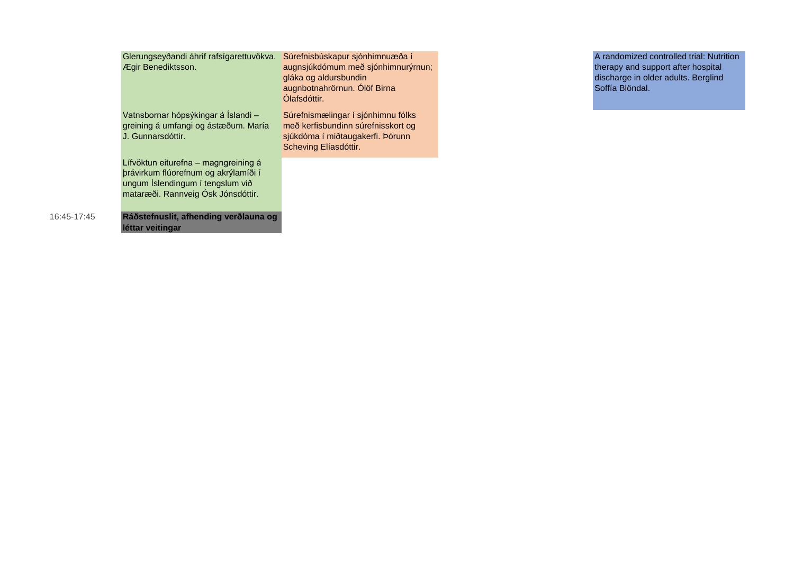| Glerungseyðandi áhrif rafsígarettuvökva.<br>Ægir Benediktsson.                                                                                                                                  | Súrefnisbúskapur sjónhimnuæða í<br>augnsjúkdómum með sjónhimnurýrnun;<br>gláka og aldursbundin<br>augnbotnahrörnun. Ólöf Birna<br>Ólafsdóttir. | A randomized controlled trial: Nutrition<br>therapy and support after hospital<br>discharge in older adults. Berglind<br>Soffía Blöndal. |
|-------------------------------------------------------------------------------------------------------------------------------------------------------------------------------------------------|------------------------------------------------------------------------------------------------------------------------------------------------|------------------------------------------------------------------------------------------------------------------------------------------|
| Vatnsbornar hópsýkingar á Íslandi -<br>greining á umfangi og ástæðum. María<br>J. Gunnarsdóttir.                                                                                                | Súrefnismælingar í sjónhimnu fólks<br>með kerfisbundinn súrefnisskort og<br>sjúkdóma í miðtaugakerfi. Þórunn<br>Scheving Elíasdóttir.          |                                                                                                                                          |
| Lífvöktun eiturefna – magngreining á<br>þrávirkum flúorefnum og akrýlamíði í<br>ungum Íslendingum í tengslum við<br>mataræði. Rannveig Ósk Jónsdóttir.<br>Ráðstefnuslit, afhending verðlauna og |                                                                                                                                                |                                                                                                                                          |
| léttar veitingar                                                                                                                                                                                |                                                                                                                                                |                                                                                                                                          |

16:45-17:45 **Ráðstefnuslit, afhending verðlauna og**